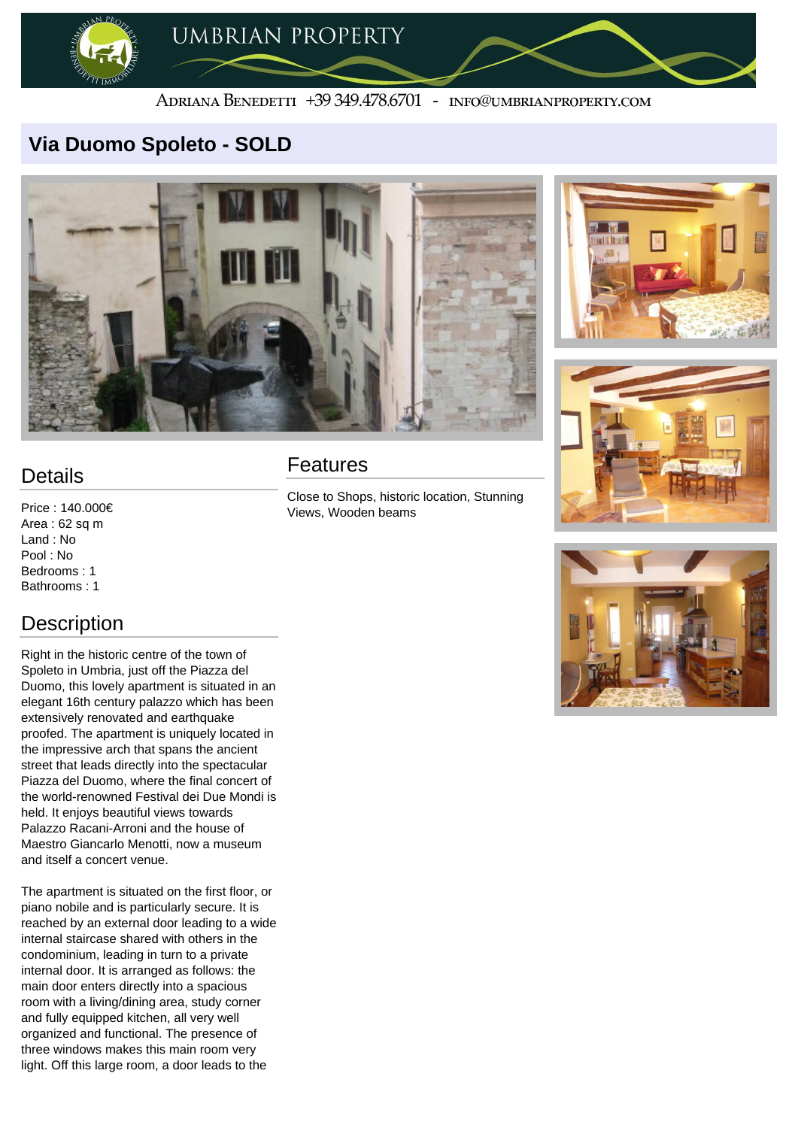

#### ADRIANA BENEDETTI +39 349.478.6701 - INFO@UMBRIANPROPERTY.COM

## **Via Duomo Spoleto - SOLD**







## **Details**

Price : 140.000€ Area : 62 sq m Land : No Pool : No Bedrooms : 1 Bathrooms : 1

# **Description**

Right in the historic centre of the town of Spoleto in Umbria, just off the Piazza del Duomo, this lovely apartment is situated in an elegant 16th century palazzo which has been extensively renovated and earthquake proofed. The apartment is uniquely located in the impressive arch that spans the ancient street that leads directly into the spectacular Piazza del Duomo, where the final concert of the world-renowned Festival dei Due Mondi is held. It enjoys beautiful views towards Palazzo Racani-Arroni and the house of Maestro Giancarlo Menotti, now a museum and itself a concert venue.

#### **Features**

The apartment is situated on the first floor, or piano nobile and is particularly secure. It is reached by an external door leading to a wide internal staircase shared with others in the condominium, leading in turn to a private internal door. It is arranged as follows: the main door enters directly into a spacious room with a living/dining area, study corner and fully equipped kitchen, all very well organized and functional. The presence of three windows makes this main room very light. Off this large room, a door leads to the

Close to Shops, historic location, Stunning Views, Wooden beams